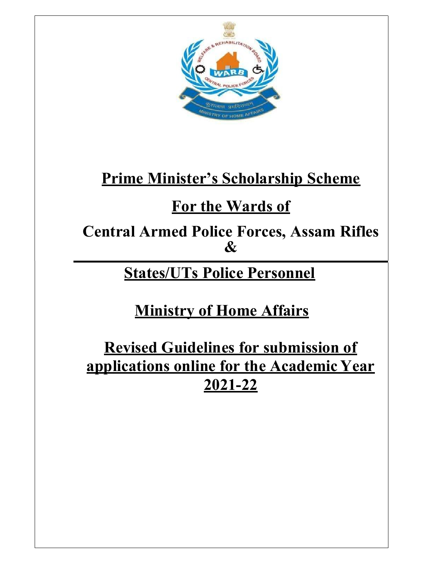

# Prime Minister's Scholarship Scheme

# For the Wards of

Central Armed Police Forces, Assam Rifles &

# States/UTs Police Personnel

Ministry of Home Affairs

Revised Guidelines for submission of applications online for the Academic Year 2021-22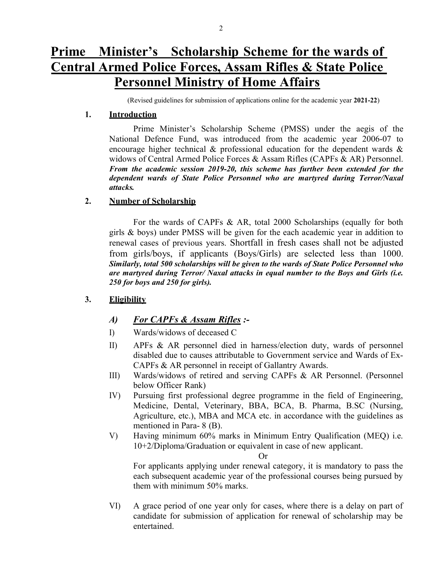(Revised guidelines for submission of applications online for the academic year 2021-22)

#### 1. Introduction

Prime Minister's Scholarship Scheme (PMSS) under the aegis of the National Defence Fund, was introduced from the academic year 2006-07 to encourage higher technical  $\&$  professional education for the dependent wards  $\&$ widows of Central Armed Police Forces & Assam Rifles (CAPFs & AR) Personnel. From the academic session 2019-20, this scheme has further been extended for the dependent wards of State Police Personnel who are martyred during Terror/Naxal attacks.

#### 2. Number of Scholarship

For the wards of CAPFs & AR, total 2000 Scholarships (equally for both girls & boys) under PMSS will be given for the each academic year in addition to renewal cases of previous years. Shortfall in fresh cases shall not be adjusted from girls/boys, if applicants (Boys/Girls) are selected less than 1000. Similarly, total 500 scholarships will be given to the wards of State Police Personnel who are martyred during Terror/ Naxal attacks in equal number to the Boys and Girls (i.e. 250 for boys and 250 for girls).

#### 3. Eligibility

# A) For CAPFs & Assam Rifles :-

- I) Wards/widows of deceased C
- II) APFs & AR personnel died in harness/election duty, wards of personnel disabled due to causes attributable to Government service and Wards of Ex-CAPFs & AR personnel in receipt of Gallantry Awards.
- III) Wards/widows of retired and serving CAPFs & AR Personnel. (Personnel below Officer Rank)
- IV) Pursuing first professional degree programme in the field of Engineering, Medicine, Dental, Veterinary, BBA, BCA, B. Pharma, B.SC (Nursing, Agriculture, etc.), MBA and MCA etc. in accordance with the guidelines as mentioned in Para- 8 (B).
- V) Having minimum 60% marks in Minimum Entry Qualification (MEQ) i.e. 10+2/Diploma/Graduation or equivalent in case of new applicant.

Or

For applicants applying under renewal category, it is mandatory to pass the each subsequent academic year of the professional courses being pursued by them with minimum 50% marks.

VI) A grace period of one year only for cases, where there is a delay on part of candidate for submission of application for renewal of scholarship may be entertained.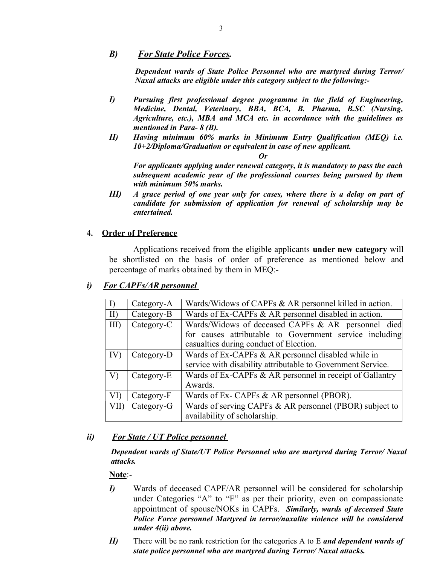#### B) For State Police Forces.

Dependent wards of State Police Personnel who are martyred during Terror/ Naxal attacks are eligible under this category subject to the following:-

- I) Pursuing first professional degree programme in the field of Engineering, Medicine, Dental, Veterinary, BBA, BCA, B. Pharma, B.SC (Nursing, Agriculture, etc.), MBA and MCA etc. in accordance with the guidelines as mentioned in Para- 8 (B).
- II) Having minimum 60% marks in Minimum Entry Qualification (MEQ) i.e. 10+2/Diploma/Graduation or equivalent in case of new applicant.

Or

For applicants applying under renewal category, it is mandatory to pass the each subsequent academic year of the professional courses being pursued by them with minimum 50% marks.

III) A grace period of one year only for cases, where there is a delay on part of candidate for submission of application for renewal of scholarship may be entertained.

#### 4. Order of Preference

Applications received from the eligible applicants under new category will be shortlisted on the basis of order of preference as mentioned below and percentage of marks obtained by them in MEQ:-

# i) For CAPFs/AR personnel

|         | Category-A | Wards/Widows of CAPFs & AR personnel killed in action.      |  |  |  |
|---------|------------|-------------------------------------------------------------|--|--|--|
| II)     | Category-B | Wards of Ex-CAPFs & AR personnel disabled in action.        |  |  |  |
| $III$ ) | Category-C | Wards/Widows of deceased CAPFs & AR personnel died          |  |  |  |
|         |            | for causes attributable to Government service including     |  |  |  |
|         |            | casualties during conduct of Election.                      |  |  |  |
| IV)     | Category-D | Wards of Ex-CAPFs & AR personnel disabled while in          |  |  |  |
|         |            | service with disability attributable to Government Service. |  |  |  |
| V)      | Category-E | Wards of Ex-CAPFs & AR personnel in receipt of Gallantry    |  |  |  |
|         |            | Awards.                                                     |  |  |  |
| VI)     | Category-F | Wards of Ex- CAPFs & AR personnel (PBOR).                   |  |  |  |
| VII)    | Category-G | Wards of serving CAPFs & AR personnel (PBOR) subject to     |  |  |  |
|         |            | availability of scholarship.                                |  |  |  |

# ii) For State / UT Police personnel

#### Dependent wards of State/UT Police Personnel who are martyred during Terror/ Naxal attacks.

#### Note:-

- I) Wards of deceased CAPF/AR personnel will be considered for scholarship under Categories "A" to "F" as per their priority, even on compassionate appointment of spouse/NOKs in CAPFs. Similarly, wards of deceased State Police Force personnel Martyred in terror/naxalite violence will be considered under 4(ii) above.
- II) There will be no rank restriction for the categories A to E and dependent wards of state police personnel who are martyred during Terror/ Naxal attacks.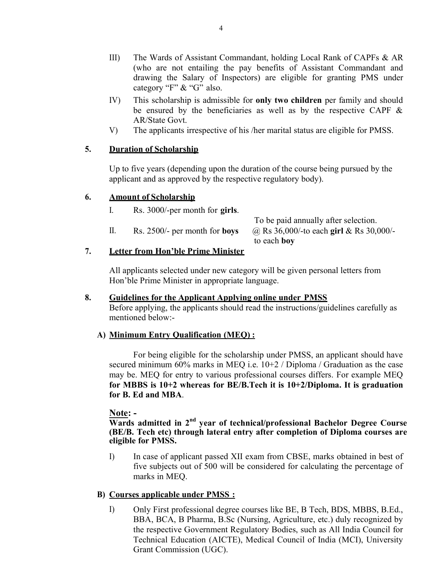- III) The Wards of Assistant Commandant, holding Local Rank of CAPFs & AR (who are not entailing the pay benefits of Assistant Commandant and drawing the Salary of Inspectors) are eligible for granting PMS under category "F" & "G" also.
- IV) This scholarship is admissible for only two children per family and should be ensured by the beneficiaries as well as by the respective CAPF  $\&$ AR/State Govt.
- V) The applicants irrespective of his /her marital status are eligible for PMSS.

#### 5. Duration of Scholarship

Up to five years (depending upon the duration of the course being pursued by the applicant and as approved by the respective regulatory body).

#### 6. Amount of Scholarship

I. Rs. 3000/-per month for girls. To be paid annually after selection. II. Rs. 2500/- per month for **boys**  $\omega$  Rs 36,000/-to each girl & Rs 30,000/to each boy

#### 7. Letter from Hon'ble Prime Minister

All applicants selected under new category will be given personal letters from Hon'ble Prime Minister in appropriate language.

#### 8. Guidelines for the Applicant Applying online under PMSS

Before applying, the applicants should read the instructions/guidelines carefully as mentioned below:-

#### A) Minimum Entry Qualification (MEQ) :

For being eligible for the scholarship under PMSS, an applicant should have secured minimum 60% marks in MEQ i.e. 10+2 / Diploma / Graduation as the case may be. MEQ for entry to various professional courses differs. For example MEQ for MBBS is 10+2 whereas for BE/B.Tech it is 10+2/Diploma. It is graduation for B. Ed and MBA.

Note: -

 $\overline{Wards}$  admitted in  $2<sup>nd</sup>$  year of technical/professional Bachelor Degree Course (BE/B. Tech etc) through lateral entry after completion of Diploma courses are eligible for PMSS.

I) In case of applicant passed XII exam from CBSE, marks obtained in best of five subjects out of 500 will be considered for calculating the percentage of marks in MEQ.

#### B) Courses applicable under PMSS :

I) Only First professional degree courses like BE, B Tech, BDS, MBBS, B.Ed., BBA, BCA, B Pharma, B.Sc (Nursing, Agriculture, etc.) duly recognized by the respective Government Regulatory Bodies, such as All India Council for Technical Education (AICTE), Medical Council of India (MCI), University Grant Commission (UGC).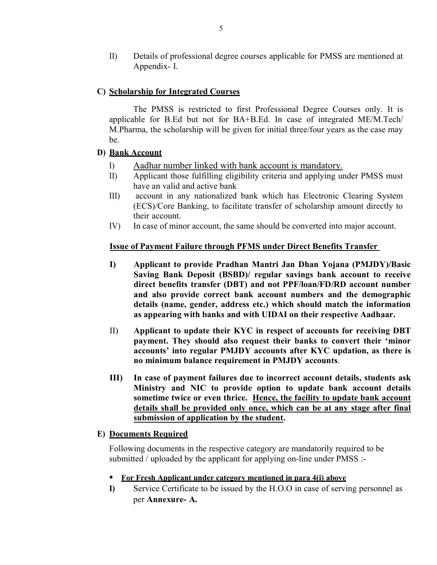II) Details of professional degree courses applicable for PMSS are mentioned at Appendix- I.

## C) Scholarship for Integrated Courses

The PMSS is restricted to first Professional Degree Courses only. It is applicable for B.Ed but not for BA+B.Ed. In case of integrated ME/M.Tech/ M.Pharma, the scholarship will be given for initial three/four years as the case may be.

#### D) Bank Account

- I) Aadhar number linked with bank account is mandatory.
- II) Applicant those fulfilling eligibility criteria and applying under PMSS must have an valid and active bank
- III) account in any nationalized bank which has Electronic Clearing System (ECS)/Core Banking, to facilitate transfer of scholarship amount directly to their account.
- IV) In case of minor account, the same should be converted into major account.

#### Issue of Payment Failure through PFMS under Direct Benefits Transfer

- I) Applicant to provide Pradhan Mantri Jan Dhan Yojana (PMJDY)/Basic Saving Bank Deposit (BSBD)/ regular savings bank account to receive direct benefits transfer (DBT) and not PPF/loan/FD/RD account number and also provide correct bank account numbers and the demographic details (name, gender, address etc.) which should match the information as appearing with banks and with UIDAI on their respective Aadhaar.
- II) Applicant to update their KYC in respect of accounts for receiving DBT payment. They should also request their banks to convert their 'minor accounts' into regular PMJDY accounts after KYC updation, as there is no minimum balance requirement in PMJDY accounts.
- III) In case of payment failures due to incorrect account details, students ask Ministry and NIC to provide option to update bank account details sometime twice or even thrice. Hence, the facility to update bank account details shall be provided only once, which can be at any stage after final submission of application by the student.

#### E) Documents Required

Following documents in the respective category are mandatorily required to be submitted / uploaded by the applicant for applying on-line under PMSS :-

- For Fresh Applicant under category mentioned in para 4(i) above
- I) Service Certificate to be issued by the H.O.O in case of serving personnel as per Annexure- A.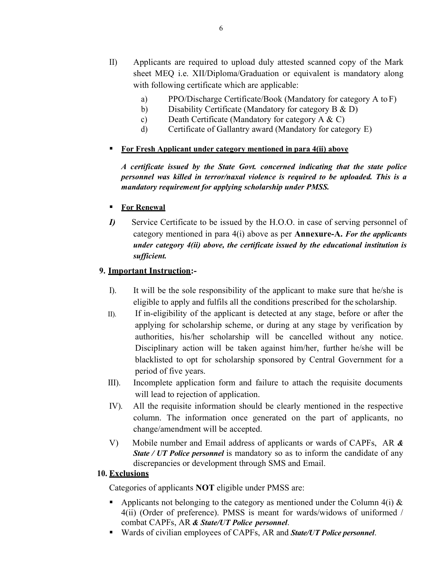- II) Applicants are required to upload duly attested scanned copy of the Mark sheet MEQ i.e. XII/Diploma/Graduation or equivalent is mandatory along with following certificate which are applicable:
	- a) PPO/Discharge Certificate/Book (Mandatory for category A to F)
	- b) Disability Certificate (Mandatory for category B & D)
	- c) Death Certificate (Mandatory for category A & C)
	- d) Certificate of Gallantry award (Mandatory for category E)

#### **For Fresh Applicant under category mentioned in para 4(ii) above**

A certificate issued by the State Govt. concerned indicating that the state police personnel was killed in terror/naxal violence is required to be uploaded. This is a mandatory requirement for applying scholarship under PMSS.

## For Renewal

I) Service Certificate to be issued by the H.O.O. in case of serving personnel of category mentioned in para  $4(i)$  above as per **Annexure-A.** For the applicants under category 4(ii) above, the certificate issued by the educational institution is sufficient.

## 9. Important Instruction:-

- I). It will be the sole responsibility of the applicant to make sure that he/she is eligible to apply and fulfils all the conditions prescribed for the scholarship.
- II). If in-eligibility of the applicant is detected at any stage, before or after the applying for scholarship scheme, or during at any stage by verification by authorities, his/her scholarship will be cancelled without any notice. Disciplinary action will be taken against him/her, further he/she will be blacklisted to opt for scholarship sponsored by Central Government for a period of five years.
- III). Incomplete application form and failure to attach the requisite documents will lead to rejection of application.
- IV). All the requisite information should be clearly mentioned in the respective column. The information once generated on the part of applicants, no change/amendment will be accepted.
- V) Mobile number and Email address of applicants or wards of CAPFs, AR  $\&$ **State / UT Police personnel** is mandatory so as to inform the candidate of any discrepancies or development through SMS and Email.

#### 10. Exclusions

Categories of applicants NOT eligible under PMSS are:

- Applicants not belonging to the category as mentioned under the Column  $4(i)$  & 4(ii) (Order of preference). PMSS is meant for wards/widows of uniformed / combat CAPFs, AR & State/UT Police personnel.
- Wards of civilian employees of CAPFs, AR and **State/UT Police personnel**.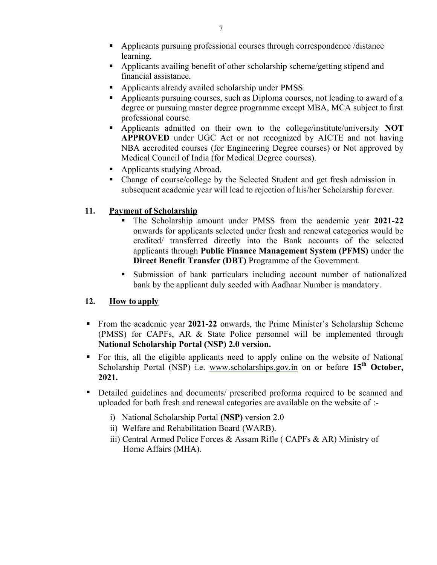- Applicants pursuing professional courses through correspondence /distance learning.
- Applicants availing benefit of other scholarship scheme/getting stipend and financial assistance.
- Applicants already availed scholarship under PMSS.
- Applicants pursuing courses, such as Diploma courses, not leading to award of a degree or pursuing master degree programme except MBA, MCA subject to first professional course.
- Applicants admitted on their own to the college/institute/university NOT APPROVED under UGC Act or not recognized by AICTE and not having NBA accredited courses (for Engineering Degree courses) or Not approved by Medical Council of India (for Medical Degree courses).
- Applicants studying Abroad.
- Change of course/college by the Selected Student and get fresh admission in subsequent academic year will lead to rejection of his/her Scholarship for ever.

# 11. Payment of Scholarship

- The Scholarship amount under PMSS from the academic year 2021-22 onwards for applicants selected under fresh and renewal categories would be credited/ transferred directly into the Bank accounts of the selected applicants through Public Finance Management System (PFMS) under the Direct Benefit Transfer (DBT) Programme of the Government.
- Submission of bank particulars including account number of nationalized bank by the applicant duly seeded with Aadhaar Number is mandatory.

# 12. How to apply

- From the academic year 2021-22 onwards, the Prime Minister's Scholarship Scheme (PMSS) for CAPFs, AR & State Police personnel will be implemented through National Scholarship Portal (NSP) 2.0 version.
- For this, all the eligible applicants need to apply online on the website of National Scholarship Portal (NSP) i.e. www.scholarships.gov.in on or before  $15<sup>th</sup>$  October, 2021.
- Detailed guidelines and documents/ prescribed proforma required to be scanned and uploaded for both fresh and renewal categories are available on the website of :
	- i) National Scholarship Portal (NSP) version 2.0
	- ii) Welfare and Rehabilitation Board (WARB).
	- iii) Central Armed Police Forces & Assam Rifle ( CAPFs & AR) Ministry of Home Affairs (MHA).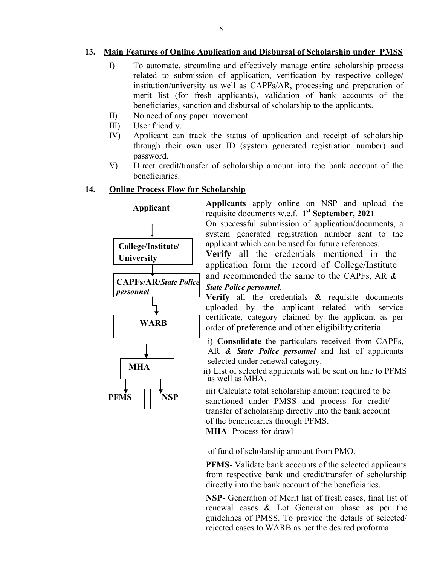#### 13. Main Features of Online Application and Disbursal of Scholarship under PMSS

- I) To automate, streamline and effectively manage entire scholarship process related to submission of application, verification by respective college/ institution/university as well as CAPFs/AR, processing and preparation of merit list (for fresh applicants), validation of bank accounts of the beneficiaries, sanction and disbursal of scholarship to the (for fresh applicants), validation of bank<br>s, sanction and disbursal of scholarship to the a<br>any paper movement. To automate, streamline and effectively manage entire scholarship process<br>related to submission of application, verification by respective college/<br>institution/university as well as CAPFs/AR, processing and preparation of<br>
- II) No need of any paper movement.
- III) User friendly.
- IV) Applicant can track the status of application and receipt of scholarship Applicant can track the status of application and receipt of scholarship<br>through their own user ID (system generated registration number) and password.
- V) Direct credit/transfer of scholarship amount into the bank account of the beneficiaries.

#### 14. Online Process Flow for Scholarship



Applicants apply online on NSP and upload the requisite documents w.e.f.  $1^{st}$  September, 2021

On successful submission of application/documents, a system generated registration number sent to the applicant which can be used for future references.

Verify all the credentials mentioned in the application form the record of College/Institute and recommended the same to the CAPFs, AR  $\&$ State Police personnel. m generated registration number sent to the<br>cant which can be used for future references.<br>**fy** all the credentials mentioned in the<br>ication form the record of College/Institute<br>recommended the same to the CAPFs, AR  $\&$ 

Verify all the credentials & requisite documents uploaded by the applicant related with service certificate, category claimed by the applicant as per order of preference and other eligibility all the credentials & requisite documents<br>if by the applicant related with service<br>e, category claimed by the applicant as per<br>preference and other eligibility criteria.

i) Consolidate the particulars received from CAPFs, AR & State Police personnel and list of applicants selected under renewal category. msolidate the particulars received from CAPFs,<br>l **State Police personnel** and list of applicants<br>ed under renewal category.<br>of selected applicants will be sent on line to PFMS

ii) List of selected applicants will be sent on line to as well as MHA.

NSP sanctioned under PMSS and process for credit/ iii) Calculate total scholarship amount required to be transfer of scholarship directly into the bank account of the beneficiaries through PFMS. MHA- Process for drawl validation and process for credit/<br>
ransfer of scholarship directly into the bank account<br>
of the beneficiaries through PFMS.<br> **WHA**- Process for drawl<br>
of fund of scholarship amount from PMO.<br>
PFMS- Validate bank accounts

of fund of scholarship amount from PMO.

PFMS- Validate bank accounts of the selected applicants from respective bank and credit/transfer of scholarship directly into the bank account of the beneficiaries.

NSP- Generation of Merit list of fresh cases, final list of renewal cases & Lot Generation phase as per the guidelines of PMSS. To provide the details of selected/<br>rejected cases to WARB as per the desired proforma. rejected cases to WARB as per the desired proforma.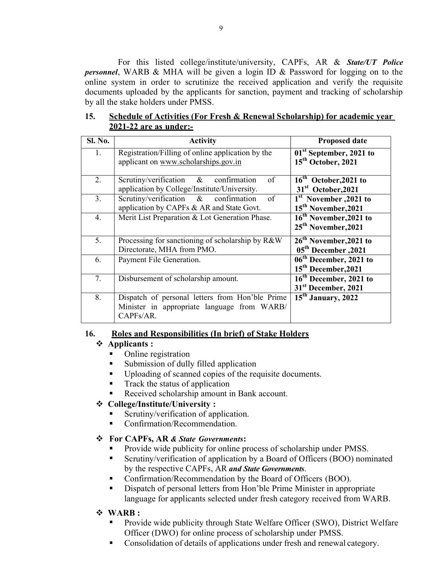For this listed college/institute/university, CAPFs, AR & State/UT Police personnel, WARB & MHA will be given a login ID & Password for logging on to the online system in order to scrutinize the received application and verify the requisite documents uploaded by the applicants for sanction, payment and tracking of scholarship by all the stake holders under PMSS.

| Sl. No. | <b>Activity</b>                                                                                             | <b>Proposed date</b>                                                   |
|---------|-------------------------------------------------------------------------------------------------------------|------------------------------------------------------------------------|
| 1.      | Registration/Filling of online application by the<br>applicant on www.scholarships.gov.in                   | 01 <sup>st</sup> September, 2021 to<br>15 <sup>th</sup> October, 2021  |
| 2.      | Scrutiny/verification $\&$ confirmation<br>of<br>application by College/Institute/University.               | 16 <sup>th</sup> October, 2021 to<br>31 <sup>st</sup> October, 2021    |
| 3.      | Scrutiny/verification & confirmation<br>of<br>application by CAPFs & AR and State Govt.                     | 1 <sup>st</sup> November , 2021 to<br>15 <sup>th</sup> November, 2021  |
| 4.      | Merit List Preparation & Lot Generation Phase.                                                              | 16 <sup>th</sup> November, 2021 to<br>25 <sup>th</sup> November, 2021  |
| 5.      | Processing for sanctioning of scholarship by R&W<br>Directorate, MHA from PMO.                              | 26 <sup>th</sup> November, 2021 to<br>05 <sup>th</sup> December , 2021 |
| 6.      | Payment File Generation.                                                                                    | 06 <sup>th</sup> December, 2021 to<br>15 <sup>th</sup> December, 2021  |
| 7.      | Disbursement of scholarship amount.                                                                         | 16 <sup>th</sup> December, 2021 to<br>31 <sup>st</sup> December, 2021  |
| 8.      | Dispatch of personal letters from Hon'ble Prime<br>Minister in appropriate language from WARB/<br>CAPFs/AR. | 15 <sup>th</sup> January, 2022                                         |

#### 15. Schedule of Activities (For Fresh & Renewal Scholarship) for academic year 2021-22 are as under:-

#### 16. Roles and Responsibilities (In brief) of Stake Holders

#### Applicants :

- Online registration
- Submission of dully filled application
- Uploading of scanned copies of the requisite documents.
- Track the status of application
- Received scholarship amount in Bank account.

# College/Institute/University :

- Scrutiny/verification of application.
- Confirmation/Recommendation.

# For CAPFs, AR & State Governments:

- Provide wide publicity for online process of scholarship under PMSS.
- Scrutiny/verification of application by a Board of Officers (BOO) nominated by the respective CAPFs, AR and State Governments.
- Confirmation/Recommendation by the Board of Officers (BOO).
- Dispatch of personal letters from Hon'ble Prime Minister in appropriate language for applicants selected under fresh category received from WARB.

# WARB :

- Provide wide publicity through State Welfare Officer (SWO), District Welfare Officer (DWO) for online process of scholarship under PMSS.
- Consolidation of details of applications under fresh and renewal category.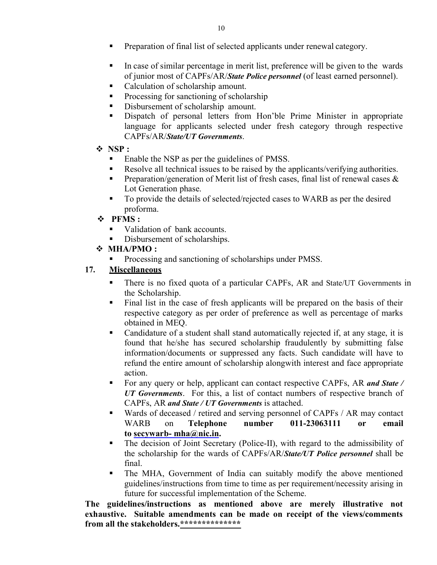- **Preparation of final list of selected applicants under renewal category.**
- In case of similar percentage in merit list, preference will be given to the wards of junior most of CAPFs/AR/State Police personnel (of least earned personnel).
- Calculation of scholarship amount.
- **Processing for sanctioning of scholarship**
- Disbursement of scholarship amount.
- Dispatch of personal letters from Hon'ble Prime Minister in appropriate language for applicants selected under fresh category through respective CAPFs/AR/State/UT Governments.
- $\div$  NSP:
	- Enable the NSP as per the guidelines of PMSS.
	- Resolve all technical issues to be raised by the applicants/verifying authorities.
	- **Preparation/generation of Merit list of fresh cases, final list of renewal cases**  $\&$ Lot Generation phase.
	- To provide the details of selected/rejected cases to WARB as per the desired proforma.
- PFMS :
	- Validation of bank accounts.
	- Disbursement of scholarships.
- MHA/PMO :
	- Processing and sanctioning of scholarships under PMSS.

## 17. Miscellaneous

- There is no fixed quota of a particular CAPFs, AR and State/UT Governments in the Scholarship.
- Final list in the case of fresh applicants will be prepared on the basis of their respective category as per order of preference as well as percentage of marks obtained in MEQ.
- Candidature of a student shall stand automatically rejected if, at any stage, it is found that he/she has secured scholarship fraudulently by submitting false information/documents or suppressed any facts. Such candidate will have to refund the entire amount of scholarship alongwith interest and face appropriate action.
- For any query or help, applicant can contact respective CAPFs, AR and State / UT Governments. For this, a list of contact numbers of respective branch of CAPFs, AR and State / UT Governments is attached.
- Wards of deceased / retired and serving personnel of CAPFs / AR may contact WARB on Telephone number 011-23063111 or email to secywarb- mha@nic.in.
- The decision of Joint Secretary (Police-II), with regard to the admissibility of the scholarship for the wards of CAPFs/AR/State/UT Police personnel shall be final.
- The MHA, Government of India can suitably modify the above mentioned guidelines/instructions from time to time as per requirement/necessity arising in future for successful implementation of the Scheme.

The guidelines/instructions as mentioned above are merely illustrative not exhaustive. Suitable amendments can be made on receipt of the views/comments from all the stakeholders.\*\*\*\*\*\*\*\*\*\*\*\*\*\*\*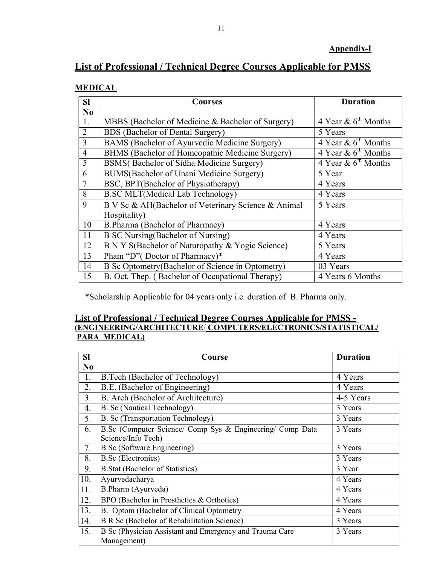# List of Professional / Technical Degree Courses Applicable for PMSS

# MEDICAL

| <b>SI</b>      | Courses                                             | <b>Duration</b>                 |
|----------------|-----------------------------------------------------|---------------------------------|
| No             |                                                     |                                 |
| 1.             | MBBS (Bachelor of Medicine & Bachelor of Surgery)   | 4 Year & $6^{\text{th}}$ Months |
| $\overline{2}$ | <b>BDS</b> (Bachelor of Dental Surgery)             | 5 Years                         |
| 3              | BAMS (Bachelor of Ayurvedic Medicine Surgery)       | 4 Year & $6^{\text{th}}$ Months |
| $\overline{4}$ | BHMS (Bachelor of Homeopathic Medicine Surgery)     | 4 Year & $6^{\text{th}}$ Months |
| 5              | BSMS(Bachelor of Sidha Medicine Surgery)            | 4 Year & $6^{\text{th}}$ Months |
| 6              | BUMS(Bachelor of Unani Medicine Surgery)            | 5 Year                          |
| 7              | BSC, BPT(Bachelor of Physiotherapy)                 | 4 Years                         |
| 8              | <b>B.SC MLT</b> (Medical Lab Technology)            | 4 Years                         |
| 9              | B V Sc & AH(Bachelor of Veterinary Science & Animal | 5 Years                         |
|                | Hospitality)                                        |                                 |
| 10             | B.Pharma (Bachelor of Pharmacy)                     | 4 Years                         |
| 11             | <b>B SC Nursing (Bachelor of Nursing)</b>           | 4 Years                         |
| 12             | B N Y S(Bachelor of Naturopathy & Yogic Science)    | 5 Years                         |
| 13             | Pham "D" (Doctor of Pharmacy)*                      | 4 Years                         |
| 14             | B Sc Optometry (Bachelor of Science in Optometry)   | 03 Years                        |
| 15             | B. Oct. Thep. (Bachelor of Occupational Therapy)    | 4 Years 6 Months                |

\*Scholarship Applicable for 04 years only i.e. duration of B. Pharma only.

#### List of Professional / Technical Degree Courses Applicable for PMSS - (ENGINEERING/ARCHITECTURE/ COMPUTERS/ELECTRONICS/STATISTICAL/ PARA MEDICAL)

| <b>SI</b>      | Course                                                    | <b>Duration</b> |
|----------------|-----------------------------------------------------------|-----------------|
| N <sub>0</sub> |                                                           |                 |
| 1.             | B. Tech (Bachelor of Technology)                          | 4 Years         |
| 2.             | B.E. (Bachelor of Engineering)                            | 4 Years         |
| 3.             | B. Arch (Bachelor of Architecture)                        | 4-5 Years       |
| 4.             | B. Sc (Nautical Technology)                               | 3 Years         |
| 5.             | B. Sc (Transportation Technology)                         | 3 Years         |
| 6.             | B.Sc (Computer Science/ Comp Sys & Engineering/ Comp Data | 3 Years         |
|                | Science/Info Tech)                                        |                 |
| 7.             | <b>B</b> Sc (Software Engineering)                        | 3 Years         |
| 8.             | <b>B.Sc</b> (Electronics)                                 | 3 Years         |
| 9.             | <b>B.Stat (Bachelor of Statistics)</b>                    | 3 Year          |
| 10.            | Ayurvedacharya                                            | 4 Years         |
| 11.            | B.Pharm (Ayurveda)                                        | 4 Years         |
| 12.            | BPO (Bachelor in Prosthetics & Orthotics)                 | 4 Years         |
| 13.            | B. Optom (Bachelor of Clinical Optometry                  | 4 Years         |
| 14.            | B R Sc (Bachelor of Rehabilitation Science)               | 3 Years         |
| 15.            | B Sc (Physician Assistant and Emergency and Trauma Care   | 3 Years         |
|                | Management)                                               |                 |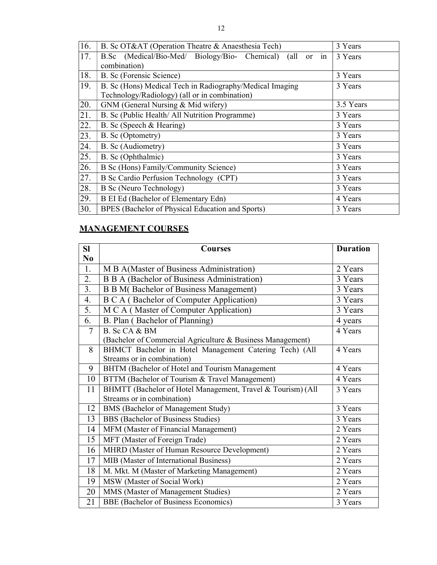| 16. | B. Sc OT&AT (Operation Theatre & Anaesthesia Tech)             | 3 Years   |
|-----|----------------------------------------------------------------|-----------|
| 17. | B.Sc (Medical/Bio-Med/ Biology/Bio- Chemical)<br>or in<br>(all | 3 Years   |
|     | combination)                                                   |           |
| 18. | B. Sc (Forensic Science)                                       | 3 Years   |
| 19. | B. Sc (Hons) Medical Tech in Radiography/Medical Imaging       | 3 Years   |
|     | Technology/Radiology) (all or in combination)                  |           |
| 20. | GNM (General Nursing & Mid wifery)                             | 3.5 Years |
| 21. | B. Sc (Public Health/ All Nutrition Programme)                 | 3 Years   |
| 22. | B. Sc (Speech & Hearing)                                       | 3 Years   |
| 23. | B. Sc (Optometry)                                              | 3 Years   |
| 24. | B. Sc (Audiometry)                                             | 3 Years   |
| 25. | B. Sc (Ophthalmic)                                             | 3 Years   |
| 26. | B Sc (Hons) Family/Community Science)                          | 3 Years   |
| 27. | B Sc Cardio Perfusion Technology (CPT)                         | 3 Years   |
| 28. | <b>B</b> Sc (Neuro Technology)                                 | 3 Years   |
| 29. | B EI Ed (Bachelor of Elementary Edn)                           | 4 Years   |
| 30. | BPES (Bachelor of Physical Education and Sports)               | 3 Years   |

# MANAGEMENT COURSES

| <b>SI</b>      | <b>Duration</b><br><b>Courses</b>                             |         |  |
|----------------|---------------------------------------------------------------|---------|--|
| $\bf No$       |                                                               |         |  |
| 1.             | M B A(Master of Business Administration)                      | 2 Years |  |
| 2.             | <b>B B A (Bachelor of Business Administration)</b><br>3 Years |         |  |
| 3.             | <b>B B M(Bachelor of Business Management)</b>                 | 3 Years |  |
| 4.             | <b>B C A</b> (Bachelor of Computer Application)               | 3 Years |  |
| 5.             | M C A (Master of Computer Application)                        | 3 Years |  |
| 6.             | B. Plan (Bachelor of Planning)                                | 4 years |  |
| $\overline{7}$ | B. Sc CA & BM                                                 | 4 Years |  |
|                | (Bachelor of Commercial Agriculture & Business Management)    |         |  |
| 8              | BHMCT Bachelor in Hotel Management Catering Tech) (All        | 4 Years |  |
|                | Streams or in combination)                                    |         |  |
| 9              | BHTM (Bachelor of Hotel and Tourism Management                | 4 Years |  |
| 10             | BTTM (Bachelor of Tourism & Travel Management)                | 4 Years |  |
| 11             | BHMTT (Bachelor of Hotel Management, Travel & Tourism) (All   | 3 Years |  |
|                | Streams or in combination)                                    |         |  |
| 12             | BMS (Bachelor of Management Study)                            | 3 Years |  |
| 13             | BBS (Bachelor of Business Studies)                            | 3 Years |  |
| 14             | MFM (Master of Financial Management)                          | 2 Years |  |
| 15             | MFT (Master of Foreign Trade)                                 | 2 Years |  |
| 16             | MHRD (Master of Human Resource Development)                   | 2 Years |  |
| 17             | MIB (Master of International Business)                        | 2 Years |  |
| 18             | M. Mkt. M (Master of Marketing Management)                    | 2 Years |  |
| 19             | MSW (Master of Social Work)                                   | 2 Years |  |
| 20             | MMS (Master of Management Studies)                            | 2 Years |  |
| 21             | <b>BBE</b> (Bachelor of Business Economics)                   | 3 Years |  |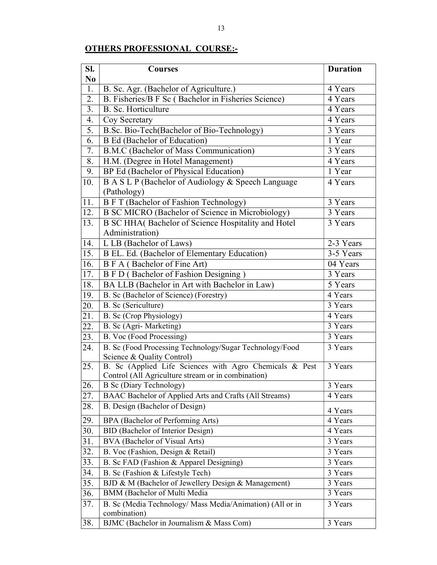# OTHERS PROFESSIONAL COURSE:-

| SI.               | <b>Courses</b>                                                                                                | <b>Duration</b>      |
|-------------------|---------------------------------------------------------------------------------------------------------------|----------------------|
| N <sub>0</sub>    |                                                                                                               |                      |
| 1.                | B. Sc. Agr. (Bachelor of Agriculture.)                                                                        | 4 Years              |
| 2.                | B. Fisheries/B F Sc (Bachelor in Fisheries Science)                                                           | 4 Years              |
| 3.                | <b>B.</b> Sc. Horticulture                                                                                    | 4 Years              |
| 4.                | Coy Secretary                                                                                                 | 4 Years              |
| 5.                | B.Sc. Bio-Tech(Bachelor of Bio-Technology)                                                                    | 3 Years              |
| 6.                | <b>B</b> Ed (Bachelor of Education)                                                                           | 1 Year               |
| 7.                | B.M.C (Bachelor of Mass Communication)                                                                        | 3 Years              |
| 8.                | H.M. (Degree in Hotel Management)                                                                             | 4 Years              |
| 9.                | BP Ed (Bachelor of Physical Education)                                                                        | 1 Year               |
| 10.               | B A S L P (Bachelor of Audiology & Speech Language                                                            | 4 Years              |
|                   | (Pathology)                                                                                                   |                      |
| 11.               | <b>B F T (Bachelor of Fashion Technology)</b>                                                                 | 3 Years              |
| 12.               | B SC MICRO (Bachelor of Science in Microbiology)                                                              | 3 Years              |
| 13.               | B SC HHA(Bachelor of Science Hospitality and Hotel                                                            | 3 Years              |
|                   | Administration)                                                                                               |                      |
| 14.               | L LB (Bachelor of Laws)                                                                                       | 2-3 Years            |
| 15.               | B EL. Ed. (Bachelor of Elementary Education)                                                                  | 3-5 Years            |
| 16.               | B F A (Bachelor of Fine Art)                                                                                  | 04 Years             |
| 17.               | B F D (Bachelor of Fashion Designing)                                                                         | 3 Years              |
| 18.               | BA LLB (Bachelor in Art with Bachelor in Law)                                                                 | 5 Years              |
| 19.               | B. Sc (Bachelor of Science) (Forestry)                                                                        | 4 Years              |
| 20.               | B. Sc (Sericulture)                                                                                           | 3 Years              |
| $\overline{21}$ . | B. Sc (Crop Physiology)                                                                                       | 4 Years              |
| $\overline{22}$ . | B. Sc (Agri- Marketing)                                                                                       | 3 Years              |
| 23.               | B. Voc (Food Processing)                                                                                      | 3 Years              |
| 24.               | B. Sc (Food Processing Technology/Sugar Technology/Food<br>Science & Quality Control)                         | 3 Years              |
| 25.               | B. Sc (Applied Life Sciences with Agro Chemicals & Pest<br>Control (All Agriculture stream or in combination) | 3 Years              |
| 26.               | B Sc (Diary Technology)                                                                                       | 3 Years              |
| 27.               | BAAC Bachelor of Applied Arts and Crafts (All Streams)                                                        | 4 Years              |
| 28.               | B. Design (Bachelor of Design)                                                                                |                      |
| 29.               | BPA (Bachelor of Performing Arts)                                                                             | 4 Years<br>4 Years   |
| 30.               | BID (Bachelor of Interior Design)                                                                             | 4 Years              |
| 31.               | BVA (Bachelor of Visual Arts)                                                                                 |                      |
|                   |                                                                                                               | 3 Years              |
| 32.               | B. Voc (Fashion, Design & Retail)                                                                             | 3 Years              |
| 33.               | B. Sc FAD (Fashion & Apparel Designing)                                                                       | 3 Years              |
| 34.               | B. Sc (Fashion & Lifestyle Tech)                                                                              | 3 Years              |
| 35.               | BJD & M (Bachelor of Jewellery Design & Management)                                                           | 3 Years              |
| 36.               | BMM (Bachelor of Multi Media                                                                                  | $\overline{3}$ Years |
| 37.               | B. Sc (Media Technology/ Mass Media/Animation) (All or in<br>combination)                                     | 3 Years              |
| 38.               | BJMC (Bachelor in Journalism & Mass Com)                                                                      | 3 Years              |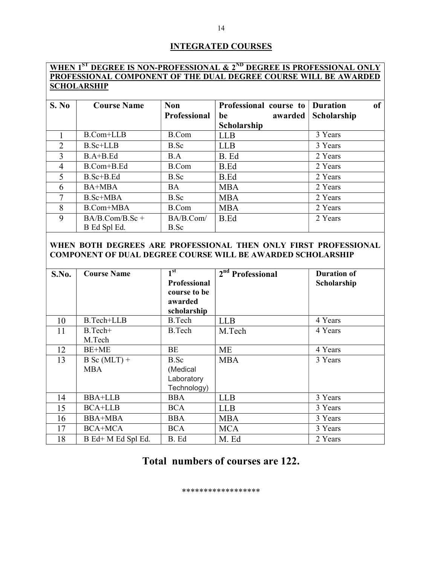#### INTEGRATED COURSES

# WHEN 1<sup>ST</sup> DEGREE IS NON-PROFESSIONAL & 2<sup>ND</sup> DEGREE IS PROFESSIONAL ONLY PROFESSIONAL COMPONENT OF THE DUAL DEGREE COURSE WILL BE AWARDED **SCHOLARSHIP**

| S. No          | <b>Course Name</b> | <b>Non</b>          | Professional course to | <sub>of</sub><br><b>Duration</b> |
|----------------|--------------------|---------------------|------------------------|----------------------------------|
|                |                    | <b>Professional</b> | awarded<br>be          | Scholarship                      |
|                |                    |                     | <b>Scholarship</b>     |                                  |
|                | $B.$ Com $+$ LLB   | B.Com               | <b>LLB</b>             | 3 Years                          |
| $\overline{2}$ | $B.$ Sc + $LLB$    | B.Sc                | <b>LLB</b>             | 3 Years                          |
| 3              | $B.A+B.Ed$         | B.A                 | B. Ed                  | 2 Years                          |
| 4              | B.Com+B.Ed         | B.Com               | B.Ed                   | 2 Years                          |
| 5              | $B. Sc + B. Ed$    | B.Sc                | B.Ed                   | 2 Years                          |
| 6              | BA+MBA             | <b>BA</b>           | <b>MBA</b>             | 2 Years                          |
| 7              | $B.$ Sc+MBA        | B.Sc                | <b>MBA</b>             | 2 Years                          |
| 8              | B.Com+MBA          | B.Com               | <b>MBA</b>             | 2 Years                          |
| 9              | $BA/B$ .Com/B.Sc + | BA/B.Com/           | B.Ed                   | 2 Years                          |
|                | B Ed Spl Ed.       | B.Sc                |                        |                                  |

#### WHEN BOTH DEGREES ARE PROFESSIONAL THEN ONLY FIRST PROFESSIONAL COMPONENT OF DUAL DEGREE COURSE WILL BE AWARDED SCHOLARSHIP

| S.No. | <b>Course Name</b> | 1 <sup>st</sup> | 2 <sup>nd</sup> Professional | <b>Duration of</b> |
|-------|--------------------|-----------------|------------------------------|--------------------|
|       |                    | Professional    |                              | Scholarship        |
|       |                    | course to be    |                              |                    |
|       |                    | awarded         |                              |                    |
|       |                    | scholarship     |                              |                    |
| 10    | B.Tech+LLB         | B.Tech          | <b>LLB</b>                   | 4 Years            |
| 11    | B.Tech+            | B.Tech          | M.Tech                       | 4 Years            |
|       | M.Tech             |                 |                              |                    |
| 12    | BE+ME              | BE              | ME                           | 4 Years            |
| 13    | $B$ Sc (MLT) +     | B.Sc            | <b>MBA</b>                   | 3 Years            |
|       | MBA                | (Medical        |                              |                    |
|       |                    | Laboratory      |                              |                    |
|       |                    | Technology)     |                              |                    |
| 14    | <b>BBA+LLB</b>     | <b>BBA</b>      | <b>LLB</b>                   | 3 Years            |
| 15    | <b>BCA+LLB</b>     | <b>BCA</b>      | <b>LLB</b>                   | 3 Years            |
| 16    | <b>BBA+MBA</b>     | <b>BBA</b>      | <b>MBA</b>                   | 3 Years            |
| 17    | <b>BCA+MCA</b>     | <b>BCA</b>      | <b>MCA</b>                   | 3 Years            |
| 18    | B Ed+ M Ed Spl Ed. | B. Ed           | M. Ed                        | 2 Years            |

# Total numbers of courses are 122.

\*\*\*\*\*\*\*\*\*\*\*\*\*\*\*\*\*\*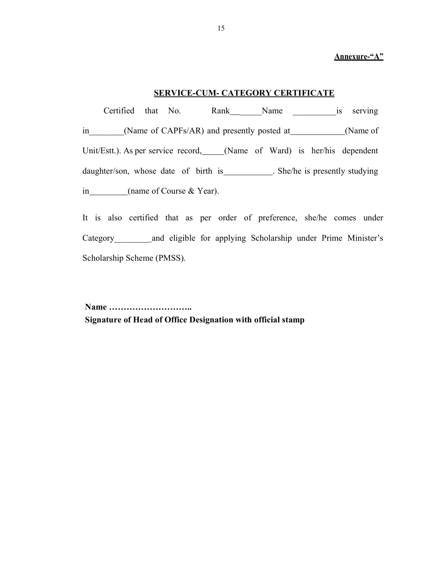#### Annexure-"A"

#### SERVICE-CUM- CATEGORY CERTIFICATE

 Certified that No. Rank \_\_\_\_\_Name \_\_\_\_\_\_\_\_\_\_is serving in (Name of CAPFs/AR) and presently posted at (Name of Unit/Estt.). As per service record, (Name of Ward) is her/his dependent daughter/son, whose date of birth is \_\_\_\_\_\_\_\_\_\_. She/he is presently studying in (name of Course & Year).

It is also certified that as per order of preference, she/he comes under Category and eligible for applying Scholarship under Prime Minister's Scholarship Scheme (PMSS).

Name ……………………….. Signature of Head of Office Designation with official stamp